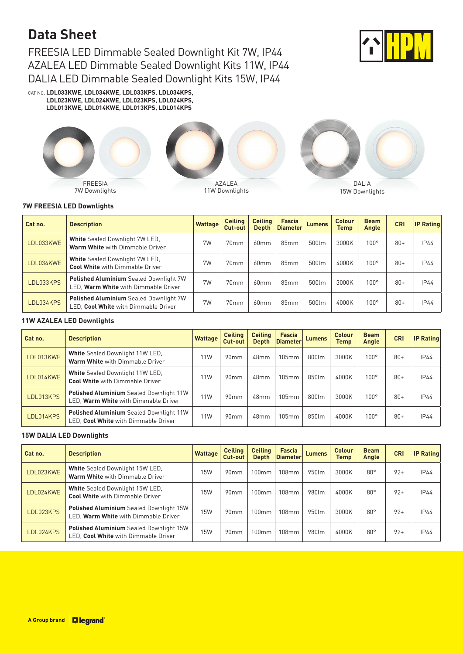# **Data Sheet**

FREESIA LED Dimmable Sealed Downlight Kit 7W, IP44 AZALEA LED Dimmable Sealed Downlight Kits 11W, IP44 DALIA LED Dimmable Sealed Downlight Kits 15W, IP44



CAT NO. **LDL033KWE, LDL034KWE, LDL033KPS, LDL034KPS, LDL023KWE, LDL024KWE, LDL023KPS, LDL024KPS, LDL013KWE, LDL014KWE, LDL013KPS, LDL014KPS**



## **7W FREESIA LED Downlights**

| Cat no.   | <b>Description</b>                                                                    | <b>Wattage</b> | <b>Ceiling</b><br>Cut-out | <b>Ceiling</b><br>Depth | <b>Fascia</b><br>Diameter | <b>Lumens</b> | Colour<br><b>Temp</b> | <b>Beam</b><br>Angle | <b>CRI</b> | <b>IP Rating</b> |
|-----------|---------------------------------------------------------------------------------------|----------------|---------------------------|-------------------------|---------------------------|---------------|-----------------------|----------------------|------------|------------------|
| LDL033KWE | <b>White</b> Sealed Downlight 7W LED,<br>Warm White with Dimmable Driver              | 7W             | 70mm                      | 60mm                    | 85mm                      | 500lm         | 3000K                 | $100^\circ$          | $80+$      | IP44             |
| LDL034KWE | <b>White</b> Sealed Downlight 7W LED,<br><b>Cool White with Dimmable Driver</b>       | 7W             | 70 <sub>mm</sub>          | 60mm                    | 85mm                      | 500lm         | 4000K                 | $100^\circ$          | $80+$      | IP44             |
| LDL033KPS | <b>Polished Aluminium</b> Sealed Downlight 7W<br>LED, Warm White with Dimmable Driver | 7W             | 70mm                      | 60mm                    | 85mm                      | 500lm         | 3000K                 | $100^\circ$          | $80+$      | IP44             |
| LDL034KPS | <b>Polished Aluminium</b> Sealed Downlight 7W<br>LED. Cool White with Dimmable Driver | 7W             | 70 <sub>mm</sub>          | 60mm                    | 85mm                      | 500lm         | 4000K                 | $100^\circ$          | $80+$      | <b>IP44</b>      |

## **11W AZALEA LED Downlights**

| Cat no.         | <b>Description</b>                                                                     | <b>Wattage</b> | <b>Ceiling</b><br>Cut-out | <b>Ceiling</b><br><b>Depth</b> | <b>Fascia</b><br><b>Diameter</b> | <b>Lumens</b> | <b>Colour</b><br><b>Temp</b> | <b>Beam</b><br>Angle | <b>CRI</b> | <b>IP Rating</b> |
|-----------------|----------------------------------------------------------------------------------------|----------------|---------------------------|--------------------------------|----------------------------------|---------------|------------------------------|----------------------|------------|------------------|
| <b>DL013KWE</b> | White Sealed Downlight 11W LED,<br>Warm White with Dimmable Driver                     | 11W            | 90mm                      | 48 <sub>mm</sub>               | 105mm                            | 800lm         | 3000K                        | $100^\circ$          | $80+$      | <b>IP44</b>      |
| LDL014KWE       | White Sealed Downlight 11W LED,<br><b>Cool White with Dimmable Driver</b>              | 11W            | 90mm                      | 48 <sub>mm</sub>               | 105mm                            | 850lm         | 4000K                        | $100^{\circ}$        | $80+$      | <b>IP44</b>      |
| LDL013KPS       | <b>Polished Aluminium</b> Sealed Downlight 11W<br>LED. Warm White with Dimmable Driver | 11W            | 90mm                      | 48 <sub>mm</sub>               | 105mm                            | 800lm         | 3000K                        | $100^{\circ}$        | $80+$      | IP44             |
| LDL014KPS       | <b>Polished Aluminium</b> Sealed Downlight 11W<br>LED, Cool White with Dimmable Driver | 11W            | 90mm                      | 48 <sub>mm</sub>               | 105mm                            | 850lm         | 4000K                        | $100^{\circ}$        | $80+$      | <b>IP44</b>      |

### **15W DALIA LED Downlights**

| Cat no.   | <b>Description</b>                                                                     | <b>Wattage</b> | <b>Ceiling</b><br>Cut-out | <b>Ceiling</b><br>Depth | Fascia<br>Diameter | <b>Lumens</b> | Colour<br>Temp | <b>Beam</b><br>Angle | <b>CRI</b> | <b>IP Rating</b> |
|-----------|----------------------------------------------------------------------------------------|----------------|---------------------------|-------------------------|--------------------|---------------|----------------|----------------------|------------|------------------|
| LDL023KWE | White Sealed Downlight 15W LED,<br>Warm White with Dimmable Driver                     | 15W            | 90mm                      | 100mm                   | 108mm              | 950lm         | 3000K          | $80^{\circ}$         | $92+$      | IP44             |
| LDL024KWE | White Sealed Downlight 15W LED,<br><b>Cool White with Dimmable Driver</b>              | 15W            | 90mm                      | 100mm                   | 108mm              | 980lm         | 4000K          | $80^{\circ}$         | $92+$      | IP44             |
| LDL023KPS | <b>Polished Aluminium</b> Sealed Downlight 15W<br>LED, Warm White with Dimmable Driver | 15W            | 90mm                      | 100mm                   | 108mm              | 950lm         | 3000K          | $80^\circ$           | $92+$      | <b>IP44</b>      |
| LDL024KPS | <b>Polished Aluminium</b> Sealed Downlight 15W<br>LED, Cool White with Dimmable Driver | 15W            | 90mm                      | 100mm                   | 108mm              | 980lm         | 4000K          | $80^{\circ}$         | $92+$      | <b>IP44</b>      |